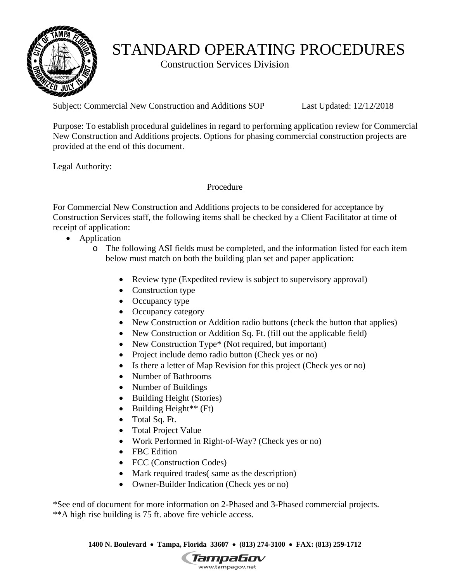

# STANDARD OPERATING PROCEDURES

Construction Services Division

Subject: Commercial New Construction and Additions SOP Last Updated: 12/12/2018

Purpose: To establish procedural guidelines in regard to performing application review for Commercial New Construction and Additions projects. Options for phasing commercial construction projects are provided at the end of this document.

Legal Authority:

Procedure

 receipt of application: For Commercial New Construction and Additions projects to be considered for acceptance by Construction Services staff, the following items shall be checked by a Client Facilitator at time of

- Application
	- o The following ASI fields must be completed, and the information listed for each item below must match on both the building plan set and paper application:
		- Review type (Expedited review is subject to supervisory approval)
		- Construction type
		- Occupancy type
		- Occupancy category
		- New Construction or Addition radio buttons (check the button that applies)
		- New Construction or Addition Sq. Ft. (fill out the applicable field)
		- New Construction Type<sup>\*</sup> (Not required, but important)
		- Project include demo radio button (Check yes or no)
		- Is there a letter of Map Revision for this project (Check yes or no)
		- Number of Bathrooms
		- Number of Buildings
		- Building Height (Stories)
		- $\bullet$  Building Height<sup>\*\*</sup> (Ft)
		- Total Sq. Ft.
		- Total Project Value
		- Work Performed in Right-of-Way? (Check yes or no)
		- FBC Edition
		- FCC (Construction Codes)
		- Mark required trades (same as the description)
		- Owner-Builder Indication (Check yes or no)

\*See end of document for more information on 2-Phased and 3-Phased commercial projects. \*\*A high rise building is 75 ft. above fire vehicle access.

 **1400 N. Boulevard Tampa, Florida 33607 (813) 274-3100 FAX: (813) 259-1712** 

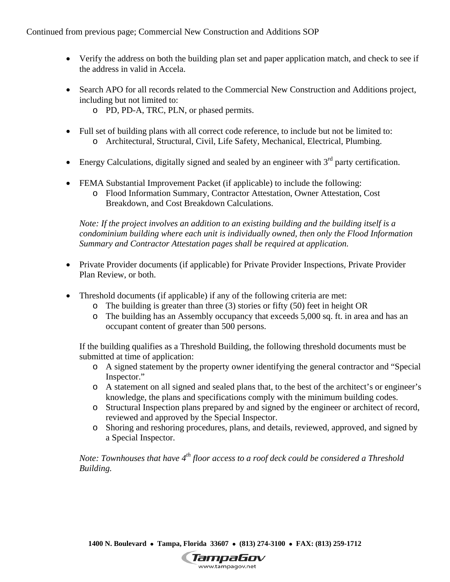- Verify the address on both the building plan set and paper application match, and check to see if the address in valid in Accela.
- Search APO for all records related to the Commercial New Construction and Additions project, including but not limited to:
	- o PD, PD-A, TRC, PLN, or phased permits.
- Full set of building plans with all correct code reference, to include but not be limited to: o Architectural, Structural, Civil, Life Safety, Mechanical, Electrical, Plumbing.
- Energy Calculations, digitally signed and sealed by an engineer with  $3<sup>rd</sup>$  party certification.
- FEMA Substantial Improvement Packet (if applicable) to include the following:
	- o Flood Information Summary, Contractor Attestation, Owner Attestation, Cost Breakdown, and Cost Breakdown Calculations.

*Note: If the project involves an addition to an existing building and the building itself is a condominium building where each unit is individually owned, then only the Flood Information Summary and Contractor Attestation pages shall be required at application.* 

- Private Provider documents (if applicable) for Private Provider Inspections, Private Provider Plan Review, or both.
- Threshold documents (if applicable) if any of the following criteria are met:
	- o The building is greater than three (3) stories or fifty (50) feet in height OR
	- o The building has an Assembly occupancy that exceeds 5,000 sq. ft. in area and has an occupant content of greater than 500 persons.

If the building qualifies as a Threshold Building, the following threshold documents must be submitted at time of application:

- o A signed statement by the property owner identifying the general contractor and "Special Inspector."
- o A statement on all signed and sealed plans that, to the best of the architect's or engineer's knowledge, the plans and specifications comply with the minimum building codes.
- reviewed and approved by the Special Inspector. o Structural Inspection plans prepared by and signed by the engineer or architect of record,
- o Shoring and reshoring procedures, plans, and details, reviewed, approved, and signed by a Special Inspector.

*Note: Townhouses that have 4th floor access to a roof deck could be considered a Threshold Building.* 

 **1400 N. Boulevard Tampa, Florida 33607 (813) 274-3100 FAX: (813) 259-1712** 

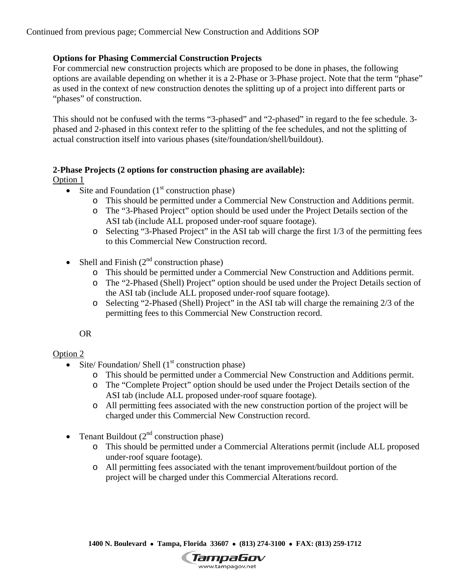## **Options for Phasing Commercial Construction Projects**

For commercial new construction projects which are proposed to be done in phases, the following options are available depending on whether it is a 2-Phase or 3-Phase project. Note that the term "phase" as used in the context of new construction denotes the splitting up of a project into different parts or "phases" of construction.

This should not be confused with the terms "3-phased" and "2-phased" in regard to the fee schedule. 3 phased and 2-phased in this context refer to the splitting of the fee schedules, and not the splitting of actual construction itself into various phases (site/foundation/shell/buildout).

# **2-Phase Projects (2 options for construction phasing are available):**

#### Option 1

- Site and Foundation  $(1<sup>st</sup>$  construction phase)
	- o This should be permitted under a Commercial New Construction and Additions permit.
	- o The "3-Phased Project" option should be used under the Project Details section of the ASI tab (include ALL proposed under‐roof square footage).
	- o Selecting "3-Phased Project" in the ASI tab will charge the first 1/3 of the permitting fees to this Commercial New Construction record.
- Shell and Finish  $(2<sup>nd</sup>$  construction phase)
	- o This should be permitted under a Commercial New Construction and Additions permit.
	- o The "2-Phased (Shell) Project" option should be used under the Project Details section of the ASI tab (include ALL proposed under‐roof square footage).
	- o Selecting "2-Phased (Shell) Project" in the ASI tab will charge the remaining 2/3 of the permitting fees to this Commercial New Construction record.

OR

# Option 2

- Site/ Foundation/ Shell  $(1<sup>st</sup>$  construction phase)
	- o This should be permitted under a Commercial New Construction and Additions permit.
	- o The "Complete Project" option should be used under the Project Details section of the ASI tab (include ALL proposed under‐roof square footage).
	- o All permitting fees associated with the new construction portion of the project will be charged under this Commercial New Construction record.
- Tenant Buildout  $(2<sup>nd</sup>$  construction phase)
	- o This should be permitted under a Commercial Alterations permit (include ALL proposed under‐roof square footage).
	- o All permitting fees associated with the tenant improvement/buildout portion of the project will be charged under this Commercial Alterations record.

 **1400 N. Boulevard Tampa, Florida 33607 (813) 274-3100 FAX: (813) 259-1712**